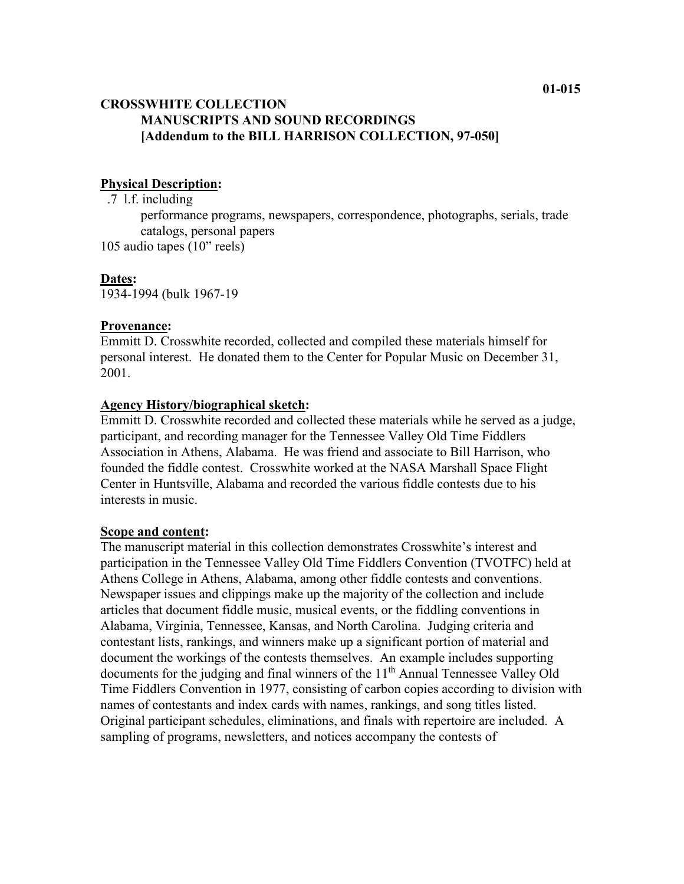# **CROSSWHITE COLLECTION MANUSCRIPTS AND SOUND RECORDINGS [Addendum to the BILL HARRISON COLLECTION, 97-050]**

#### **Physical Description:**

.7 l.f. including

performance programs, newspapers, correspondence, photographs, serials, trade catalogs, personal papers

105 audio tapes (10" reels)

#### **Dates:**

1934-1994 (bulk 1967-19

#### **Provenance:**

Emmitt D. Crosswhite recorded, collected and compiled these materials himself for personal interest. He donated them to the Center for Popular Music on December 31, 2001.

## **Agency History/biographical sketch:**

Emmitt D. Crosswhite recorded and collected these materials while he served as a judge, participant, and recording manager for the Tennessee Valley Old Time Fiddlers Association in Athens, Alabama. He was friend and associate to Bill Harrison, who founded the fiddle contest. Crosswhite worked at the NASA Marshall Space Flight Center in Huntsville, Alabama and recorded the various fiddle contests due to his interests in music.

#### **Scope and content:**

The manuscript material in this collection demonstrates Crosswhite's interest and participation in the Tennessee Valley Old Time Fiddlers Convention (TVOTFC) held at Athens College in Athens, Alabama, among other fiddle contests and conventions. Newspaper issues and clippings make up the majority of the collection and include articles that document fiddle music, musical events, or the fiddling conventions in Alabama, Virginia, Tennessee, Kansas, and North Carolina. Judging criteria and contestant lists, rankings, and winners make up a significant portion of material and document the workings of the contests themselves. An example includes supporting documents for the judging and final winners of the 11<sup>th</sup> Annual Tennessee Valley Old Time Fiddlers Convention in 1977, consisting of carbon copies according to division with names of contestants and index cards with names, rankings, and song titles listed. Original participant schedules, eliminations, and finals with repertoire are included. A sampling of programs, newsletters, and notices accompany the contests of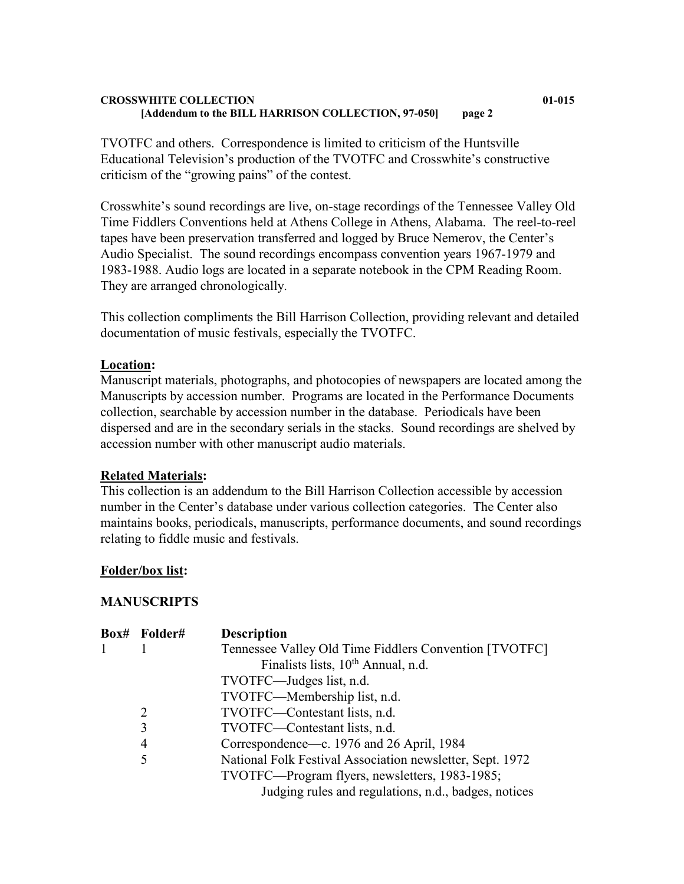#### **CROSSWHITE COLLECTION 01-015 [Addendum to the BILL HARRISON COLLECTION, 97-050] page 2**

TVOTFC and others. Correspondence is limited to criticism of the Huntsville Educational Television's production of the TVOTFC and Crosswhite's constructive criticism of the "growing pains" of the contest.

Crosswhite's sound recordings are live, on-stage recordings of the Tennessee Valley Old Time Fiddlers Conventions held at Athens College in Athens, Alabama. The reel-to-reel tapes have been preservation transferred and logged by Bruce Nemerov, the Center's Audio Specialist. The sound recordings encompass convention years 1967-1979 and 1983-1988. Audio logs are located in a separate notebook in the CPM Reading Room. They are arranged chronologically.

This collection compliments the Bill Harrison Collection, providing relevant and detailed documentation of music festivals, especially the TVOTFC.

## **Location:**

Manuscript materials, photographs, and photocopies of newspapers are located among the Manuscripts by accession number. Programs are located in the Performance Documents collection, searchable by accession number in the database. Periodicals have been dispersed and are in the secondary serials in the stacks. Sound recordings are shelved by accession number with other manuscript audio materials.

#### **Related Materials:**

This collection is an addendum to the Bill Harrison Collection accessible by accession number in the Center's database under various collection categories. The Center also maintains books, periodicals, manuscripts, performance documents, and sound recordings relating to fiddle music and festivals.

#### **Folder/box list:**

#### **MANUSCRIPTS**

|  | Box# Folder# | <b>Description</b>                                        |
|--|--------------|-----------------------------------------------------------|
|  |              | Tennessee Valley Old Time Fiddlers Convention [TVOTFC]    |
|  |              | Finalists lists, 10 <sup>th</sup> Annual, n.d.            |
|  |              | TVOTFC—Judges list, n.d.                                  |
|  |              | TVOTFC—Membership list, n.d.                              |
|  | 2            | TVOTFC—Contestant lists, n.d.                             |
|  | 3            | TVOTFC—Contestant lists, n.d.                             |
|  | 4            | Correspondence—c. 1976 and 26 April, 1984                 |
|  | 5            | National Folk Festival Association newsletter, Sept. 1972 |
|  |              | TVOTFC—Program flyers, newsletters, 1983-1985;            |
|  |              | Judging rules and regulations, n.d., badges, notices      |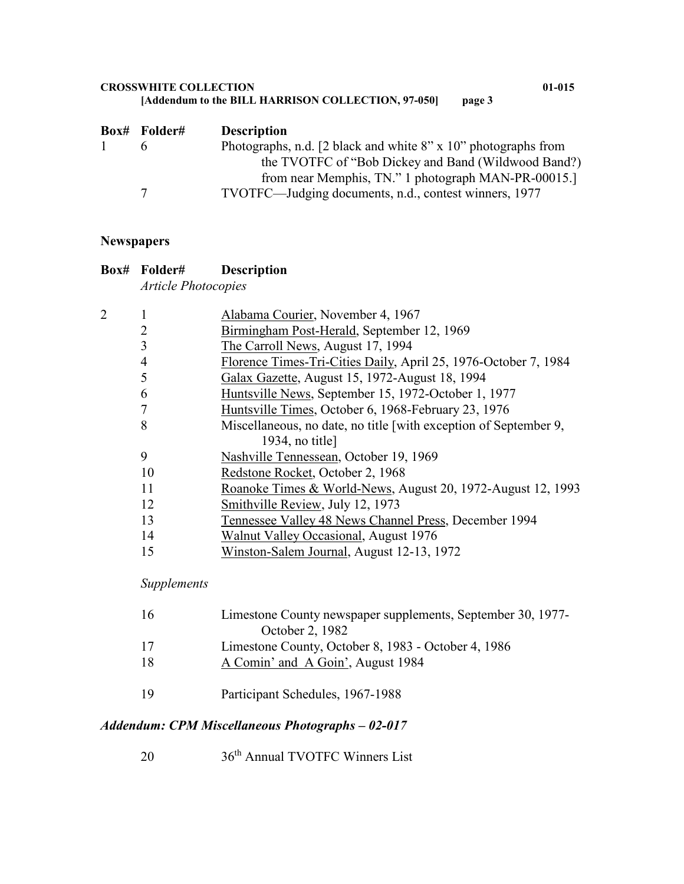#### **CROSSWHITE COLLECTION 01-015** [Addendum to the BILL HARRISON COLLECTION, 97-050]

|              | <b>Box#</b> Folder# | <b>Description</b>                                                      |
|--------------|---------------------|-------------------------------------------------------------------------|
| $\mathbf{1}$ |                     | Photographs, n.d. [2 black and white $8'' \times 10''$ photographs from |
|              |                     | the TVOTFC of "Bob Dickey and Band (Wildwood Band?)                     |
|              |                     | from near Memphis, TN." 1 photograph MAN-PR-00015.                      |
|              | 7                   | TVOTFC—Judging documents, n.d., contest winners, 1977                   |

# **Newspapers**

| <b>Description</b> |
|--------------------|
|                    |

*Article Photocopies*

| $\overline{2}$ |                | Alabama Courier, November 4, 1967                                |
|----------------|----------------|------------------------------------------------------------------|
|                | 2              | Birmingham Post-Herald, September 12, 1969                       |
|                | 3              | The Carroll News, August 17, 1994                                |
|                | $\overline{4}$ | Florence Times-Tri-Cities Daily, April 25, 1976-October 7, 1984  |
|                | 5              | Galax Gazette, August 15, 1972-August 18, 1994                   |
|                | 6              | Huntsville News, September 15, 1972-October 1, 1977              |
|                | 7              | Huntsville Times, October 6, 1968-February 23, 1976              |
|                | 8              | Miscellaneous, no date, no title [with exception of September 9, |
|                |                | 1934, no title]                                                  |
|                | 9              | Nashville Tennessean, October 19, 1969                           |
|                | 10             | Redstone Rocket, October 2, 1968                                 |
|                | 11             | Roanoke Times & World-News, August 20, 1972-August 12, 1993      |
|                | 12             | Smithville Review, July 12, 1973                                 |
|                | 13             | Tennessee Valley 48 News Channel Press, December 1994            |
|                | 14             | Walnut Valley Occasional, August 1976                            |
|                | 15             | Winston-Salem Journal, August 12-13, 1972                        |
|                |                |                                                                  |

# *Supplements*

| 16 | Limestone County newspaper supplements, September 30, 1977-<br>October 2, 1982 |
|----|--------------------------------------------------------------------------------|
| 17 | Limestone County, October 8, 1983 - October 4, 1986                            |
| 18 | A Comin' and A Goin', August 1984                                              |
| 19 | Participant Schedules, 1967-1988                                               |

# *Addendum: CPM Miscellaneous Photographs – 02-017*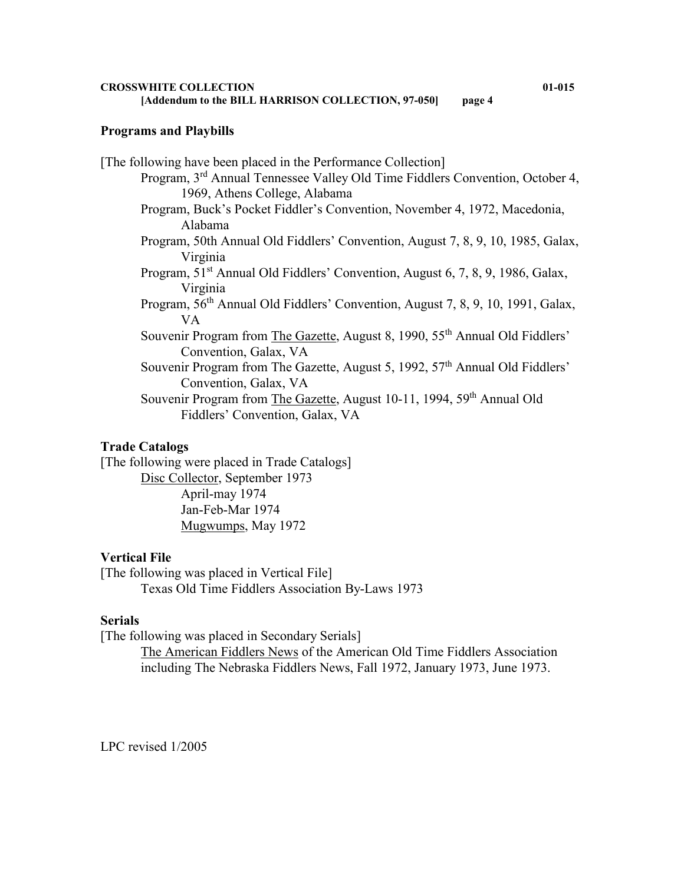#### **Programs and Playbills**

[The following have been placed in the Performance Collection] Program, 3rd Annual Tennessee Valley Old Time Fiddlers Convention, October 4, 1969, Athens College, Alabama Program, Buck's Pocket Fiddler's Convention, November 4, 1972, Macedonia, Alabama Program, 50th Annual Old Fiddlers' Convention, August 7, 8, 9, 10, 1985, Galax, Virginia Program, 51<sup>st</sup> Annual Old Fiddlers' Convention, August 6, 7, 8, 9, 1986, Galax, Virginia Program, 56<sup>th</sup> Annual Old Fiddlers' Convention, August 7, 8, 9, 10, 1991, Galax, VA Souvenir Program from The Gazette, August 8, 1990, 55<sup>th</sup> Annual Old Fiddlers' Convention, Galax, VA Souvenir Program from The Gazette, August 5, 1992, 57<sup>th</sup> Annual Old Fiddlers' Convention, Galax, VA Souvenir Program from The Gazette, August 10-11, 1994, 59<sup>th</sup> Annual Old Fiddlers' Convention, Galax, VA

#### **Trade Catalogs**

[The following were placed in Trade Catalogs] Disc Collector, September 1973 April-may 1974 Jan-Feb-Mar 1974 Mugwumps, May 1972

# **Vertical File**

[The following was placed in Vertical File] Texas Old Time Fiddlers Association By-Laws 1973

#### **Serials**

[The following was placed in Secondary Serials]

The American Fiddlers News of the American Old Time Fiddlers Association including The Nebraska Fiddlers News, Fall 1972, January 1973, June 1973.

LPC revised 1/2005